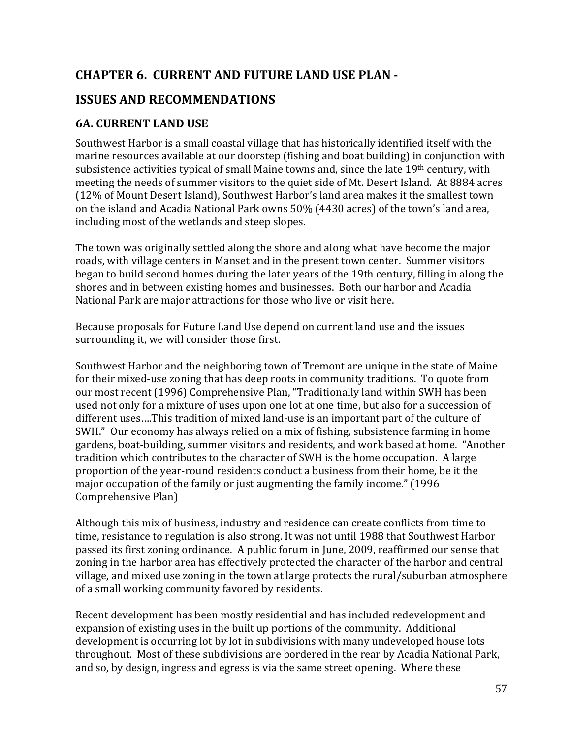# **CHAPTER 6. CURRENT AND FUTURE LAND USE PLAN -**

# **ISSUES AND RECOMMENDATIONS**

## **6A. CURRENT LAND USE**

Southwest Harbor is a small coastal village that has historically identified itself with the marine resources available at our doorstep (fishing and boat building) in conjunction with subsistence activities typical of small Maine towns and, since the late 19<sup>th</sup> century, with meeting the needs of summer visitors to the quiet side of Mt. Desert Island. At 8884 acres (12% of Mount Desert Island), Southwest Harbor's land area makes it the smallest town on the island and Acadia National Park owns 50% (4430 acres) of the town's land area, including most of the wetlands and steep slopes.

The town was originally settled along the shore and along what have become the major roads, with village centers in Manset and in the present town center. Summer visitors began to build second homes during the later years of the 19th century, filling in along the shores and in between existing homes and businesses. Both our harbor and Acadia National Park are major attractions for those who live or visit here.

Because proposals for Future Land Use depend on current land use and the issues surrounding it, we will consider those first.

Southwest Harbor and the neighboring town of Tremont are unique in the state of Maine for their mixed-use zoning that has deep roots in community traditions. To quote from our most recent (1996) Comprehensive Plan, "Traditionally land within SWH has been used not only for a mixture of uses upon one lot at one time, but also for a succession of different uses....This tradition of mixed land-use is an important part of the culture of SWH." Our economy has always relied on a mix of fishing, subsistence farming in home gardens, boat-building, summer visitors and residents, and work based at home. "Another tradition which contributes to the character of SWH is the home occupation. A large proportion of the year-round residents conduct a business from their home, be it the major occupation of the family or just augmenting the family income." (1996) Comprehensive Plan)

Although this mix of business, industry and residence can create conflicts from time to time, resistance to regulation is also strong. It was not until 1988 that Southwest Harbor passed its first zoning ordinance. A public forum in June, 2009, reaffirmed our sense that zoning in the harbor area has effectively protected the character of the harbor and central village, and mixed use zoning in the town at large protects the rural/suburban atmosphere of a small working community favored by residents.

Recent development has been mostly residential and has included redevelopment and expansion of existing uses in the built up portions of the community. Additional development is occurring lot by lot in subdivisions with many undeveloped house lots throughout. Most of these subdivisions are bordered in the rear by Acadia National Park, and so, by design, ingress and egress is via the same street opening. Where these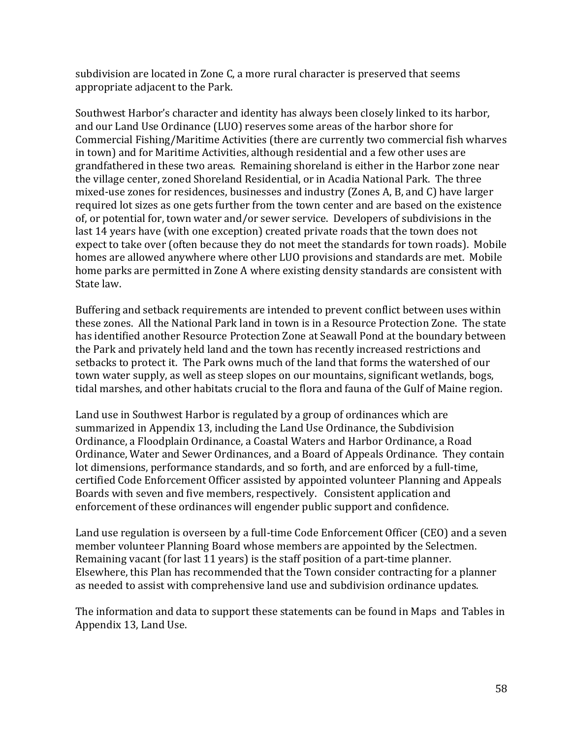subdivision are located in Zone C, a more rural character is preserved that seems appropriate adjacent to the Park.

Southwest Harbor's character and identity has always been closely linked to its harbor, and our Land Use Ordinance (LUO) reserves some areas of the harbor shore for Commercial Fishing/Maritime Activities (there are currently two commercial fish wharves in town) and for Maritime Activities, although residential and a few other uses are grandfathered in these two areas. Remaining shoreland is either in the Harbor zone near the village center, zoned Shoreland Residential, or in Acadia National Park. The three mixed-use zones for residences, businesses and industry (Zones A, B, and C) have larger required lot sizes as one gets further from the town center and are based on the existence of, or potential for, town water and/or sewer service. Developers of subdivisions in the last 14 years have (with one exception) created private roads that the town does not expect to take over (often because they do not meet the standards for town roads). Mobile homes are allowed anywhere where other LUO provisions and standards are met. Mobile home parks are permitted in Zone A where existing density standards are consistent with State law.

Buffering and setback requirements are intended to prevent conflict between uses within these zones. All the National Park land in town is in a Resource Protection Zone. The state has identified another Resource Protection Zone at Seawall Pond at the boundary between the Park and privately held land and the town has recently increased restrictions and setbacks to protect it. The Park owns much of the land that forms the watershed of our town water supply, as well as steep slopes on our mountains, significant wetlands, bogs, tidal marshes, and other habitats crucial to the flora and fauna of the Gulf of Maine region.

Land use in Southwest Harbor is regulated by a group of ordinances which are summarized in Appendix 13, including the Land Use Ordinance, the Subdivision Ordinance, a Floodplain Ordinance, a Coastal Waters and Harbor Ordinance, a Road Ordinance, Water and Sewer Ordinances, and a Board of Appeals Ordinance. They contain lot dimensions, performance standards, and so forth, and are enforced by a full-time, certified Code Enforcement Officer assisted by appointed volunteer Planning and Appeals Boards with seven and five members, respectively. Consistent application and enforcement of these ordinances will engender public support and confidence.

Land use regulation is overseen by a full-time Code Enforcement Officer (CEO) and a seven member volunteer Planning Board whose members are appointed by the Selectmen. Remaining vacant (for last 11 years) is the staff position of a part-time planner. Elsewhere, this Plan has recommended that the Town consider contracting for a planner as needed to assist with comprehensive land use and subdivision ordinance updates.

The information and data to support these statements can be found in Maps and Tables in Appendix 13, Land Use.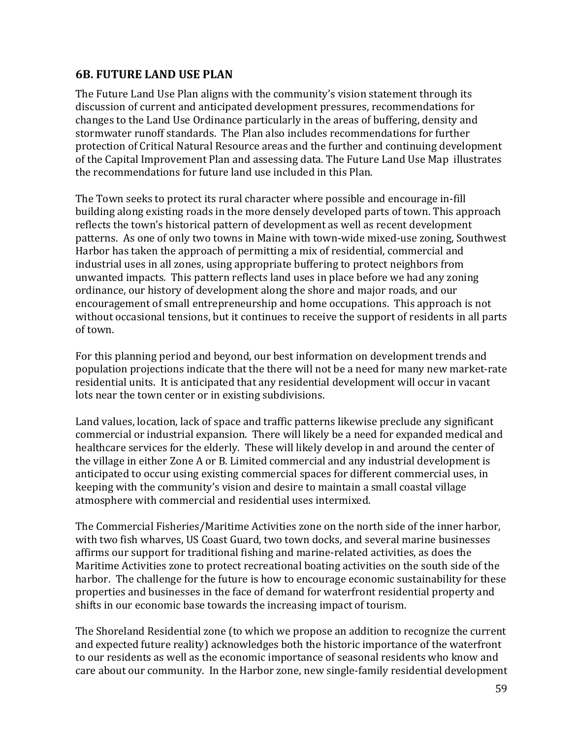#### **6B. FUTURE LAND USE PLAN**

The Future Land Use Plan aligns with the community's vision statement through its discussion of current and anticipated development pressures, recommendations for changes to the Land Use Ordinance particularly in the areas of buffering, density and stormwater runoff standards. The Plan also includes recommendations for further protection of Critical Natural Resource areas and the further and continuing development of the Capital Improvement Plan and assessing data. The Future Land Use Map illustrates the recommendations for future land use included in this Plan.

The Town seeks to protect its rural character where possible and encourage in-fill building along existing roads in the more densely developed parts of town. This approach reflects the town's historical pattern of development as well as recent development patterns. As one of only two towns in Maine with town-wide mixed-use zoning, Southwest Harbor has taken the approach of permitting a mix of residential, commercial and industrial uses in all zones, using appropriate buffering to protect neighbors from unwanted impacts. This pattern reflects land uses in place before we had any zoning ordinance, our history of development along the shore and major roads, and our encouragement of small entrepreneurship and home occupations. This approach is not without occasional tensions, but it continues to receive the support of residents in all parts of town.

For this planning period and beyond, our best information on development trends and population projections indicate that the there will not be a need for many new market-rate residential units. It is anticipated that any residential development will occur in vacant lots near the town center or in existing subdivisions.

Land values, location, lack of space and traffic patterns likewise preclude any significant commercial or industrial expansion. There will likely be a need for expanded medical and healthcare services for the elderly. These will likely develop in and around the center of the village in either Zone A or B. Limited commercial and any industrial development is anticipated to occur using existing commercial spaces for different commercial uses, in keeping with the community's vision and desire to maintain a small coastal village atmosphere with commercial and residential uses intermixed.

The Commercial Fisheries/Maritime Activities zone on the north side of the inner harbor, with two fish wharves, US Coast Guard, two town docks, and several marine businesses affirms our support for traditional fishing and marine-related activities, as does the Maritime Activities zone to protect recreational boating activities on the south side of the harbor. The challenge for the future is how to encourage economic sustainability for these properties and businesses in the face of demand for waterfront residential property and shifts in our economic base towards the increasing impact of tourism.

The Shoreland Residential zone (to which we propose an addition to recognize the current and expected future reality) acknowledges both the historic importance of the waterfront to our residents as well as the economic importance of seasonal residents who know and care about our community. In the Harbor zone, new single-family residential development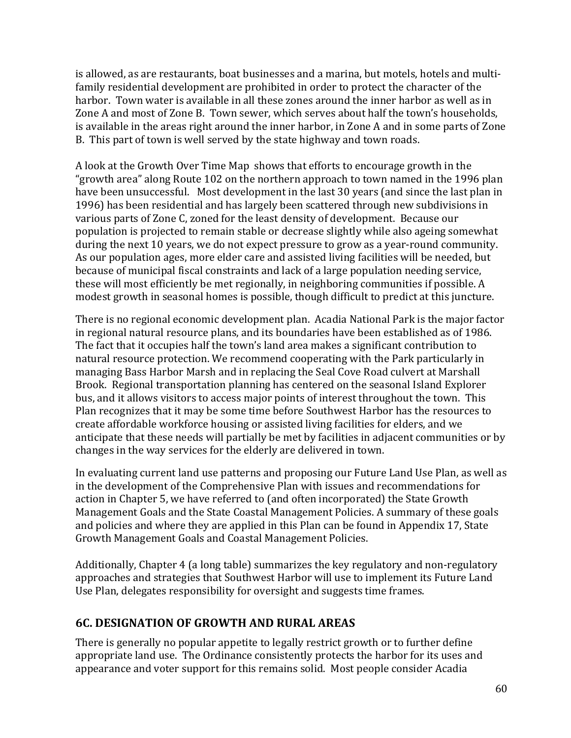is allowed, as are restaurants, boat businesses and a marina, but motels, hotels and multifamily residential development are prohibited in order to protect the character of the harbor. Town water is available in all these zones around the inner harbor as well as in Zone A and most of Zone B. Town sewer, which serves about half the town's households, is available in the areas right around the inner harbor, in Zone A and in some parts of Zone B. This part of town is well served by the state highway and town roads.

A look at the Growth Over Time Map shows that efforts to encourage growth in the "growth area" along Route 102 on the northern approach to town named in the 1996 plan have been unsuccessful. Most development in the last 30 years (and since the last plan in 1996) has been residential and has largely been scattered through new subdivisions in various parts of Zone C, zoned for the least density of development. Because our population is projected to remain stable or decrease slightly while also ageing somewhat during the next 10 years, we do not expect pressure to grow as a year-round community. As our population ages, more elder care and assisted living facilities will be needed, but because of municipal fiscal constraints and lack of a large population needing service, these will most efficiently be met regionally, in neighboring communities if possible. A modest growth in seasonal homes is possible, though difficult to predict at this juncture.

There is no regional economic development plan. Acadia National Park is the major factor in regional natural resource plans, and its boundaries have been established as of 1986. The fact that it occupies half the town's land area makes a significant contribution to natural resource protection. We recommend cooperating with the Park particularly in managing Bass Harbor Marsh and in replacing the Seal Cove Road culvert at Marshall Brook. Regional transportation planning has centered on the seasonal Island Explorer bus, and it allows visitors to access major points of interest throughout the town. This Plan recognizes that it may be some time before Southwest Harbor has the resources to create affordable workforce housing or assisted living facilities for elders, and we anticipate that these needs will partially be met by facilities in adjacent communities or by changes in the way services for the elderly are delivered in town.

In evaluating current land use patterns and proposing our Future Land Use Plan, as well as in the development of the Comprehensive Plan with issues and recommendations for action in Chapter 5, we have referred to (and often incorporated) the State Growth Management Goals and the State Coastal Management Policies. A summary of these goals and policies and where they are applied in this Plan can be found in Appendix 17, State Growth Management Goals and Coastal Management Policies.

Additionally, Chapter 4 (a long table) summarizes the key regulatory and non-regulatory approaches and strategies that Southwest Harbor will use to implement its Future Land Use Plan, delegates responsibility for oversight and suggests time frames.

## **6C. DESIGNATION OF GROWTH AND RURAL AREAS**

There is generally no popular appetite to legally restrict growth or to further define appropriate land use. The Ordinance consistently protects the harbor for its uses and appearance and voter support for this remains solid. Most people consider Acadia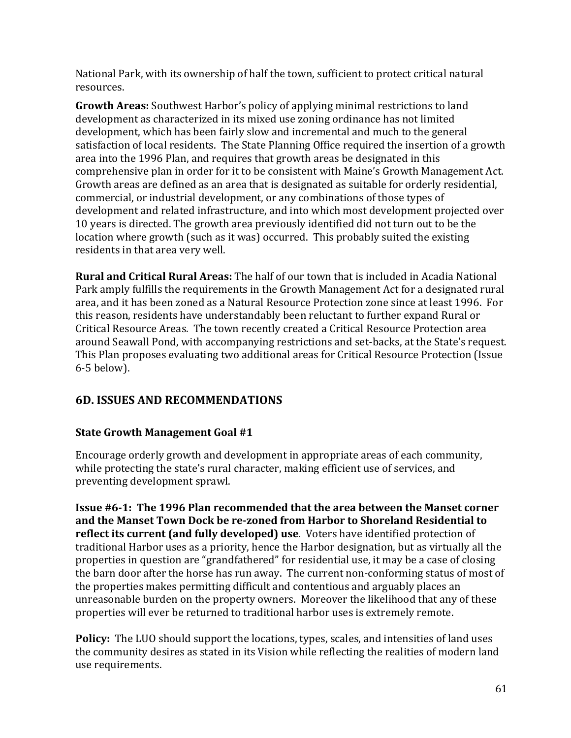National Park, with its ownership of half the town, sufficient to protect critical natural resources.

**Growth Areas:** Southwest Harbor's policy of applying minimal restrictions to land development as characterized in its mixed use zoning ordinance has not limited development, which has been fairly slow and incremental and much to the general satisfaction of local residents. The State Planning Office required the insertion of a growth area into the 1996 Plan, and requires that growth areas be designated in this comprehensive plan in order for it to be consistent with Maine's Growth Management Act. Growth areas are defined as an area that is designated as suitable for orderly residential, commercial, or industrial development, or any combinations of those types of development and related infrastructure, and into which most development projected over 10 years is directed. The growth area previously identified did not turn out to be the location where growth (such as it was) occurred. This probably suited the existing residents in that area very well.

**Rural and Critical Rural Areas:** The half of our town that is included in Acadia National Park amply fulfills the requirements in the Growth Management Act for a designated rural area, and it has been zoned as a Natural Resource Protection zone since at least 1996. For this reason, residents have understandably been reluctant to further expand Rural or Critical Resource Areas. The town recently created a Critical Resource Protection area around Seawall Pond, with accompanying restrictions and set-backs, at the State's request. This Plan proposes evaluating two additional areas for Critical Resource Protection (Issue  $6-5$  below).

# **6D. ISSUES AND RECOMMENDATIONS**

## **State Growth Management Goal #1**

Encourage orderly growth and development in appropriate areas of each community, while protecting the state's rural character, making efficient use of services, and preventing development sprawl.

**Issue #6-1: The 1996 Plan recommended that the area between the Manset corner and the Manset Town Dock be re-zoned from Harbor to Shoreland Residential to reflect its current (and fully developed) use**. Voters have identified protection of traditional Harbor uses as a priority, hence the Harbor designation, but as virtually all the properties in question are "grandfathered" for residential use, it may be a case of closing the barn door after the horse has run away. The current non-conforming status of most of the properties makes permitting difficult and contentious and arguably places an unreasonable burden on the property owners. Moreover the likelihood that any of these properties will ever be returned to traditional harbor uses is extremely remote.

**Policy:** The LUO should support the locations, types, scales, and intensities of land uses the community desires as stated in its Vision while reflecting the realities of modern land use requirements.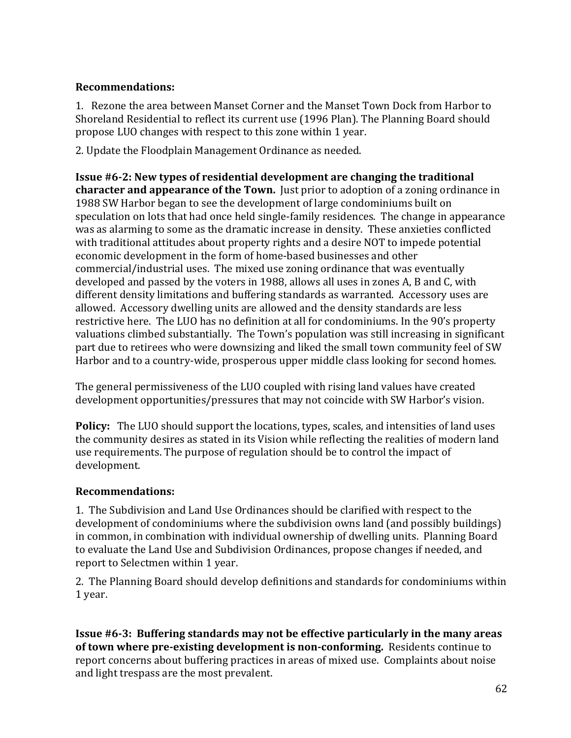#### **Recommendations:**

1. Rezone the area between Manset Corner and the Manset Town Dock from Harbor to Shoreland Residential to reflect its current use (1996 Plan). The Planning Board should propose LUO changes with respect to this zone within 1 year.

2. Update the Floodplain Management Ordinance as needed.

**Issue #6-2: New types of residential development are changing the traditional character and appearance of the Town.** Just prior to adoption of a zoning ordinance in 1988 SW Harbor began to see the development of large condominiums built on speculation on lots that had once held single-family residences. The change in appearance was as alarming to some as the dramatic increase in density. These anxieties conflicted with traditional attitudes about property rights and a desire NOT to impede potential economic development in the form of home-based businesses and other commercial/industrial uses. The mixed use zoning ordinance that was eventually developed and passed by the voters in 1988, allows all uses in zones A, B and C, with different density limitations and buffering standards as warranted. Accessory uses are allowed. Accessory dwelling units are allowed and the density standards are less restrictive here. The LUO has no definition at all for condominiums. In the 90's property valuations climbed substantially. The Town's population was still increasing in significant part due to retirees who were downsizing and liked the small town community feel of SW Harbor and to a country-wide, prosperous upper middle class looking for second homes.

The general permissiveness of the LUO coupled with rising land values have created development opportunities/pressures that may not coincide with SW Harbor's vision.

**Policy:** The LUO should support the locations, types, scales, and intensities of land uses the community desires as stated in its Vision while reflecting the realities of modern land use requirements. The purpose of regulation should be to control the impact of development.

## **Recommendations:**

1. The Subdivision and Land Use Ordinances should be clarified with respect to the development of condominiums where the subdivision owns land (and possibly buildings) in common, in combination with individual ownership of dwelling units. Planning Board to evaluate the Land Use and Subdivision Ordinances, propose changes if needed, and report to Selectmen within 1 year.

2. The Planning Board should develop definitions and standards for condominiums within 1 year.

**Issue #6-3: Buffering standards may not be effective particularly in the many areas of town where pre-existing development is non-conforming.** Residents continue to report concerns about buffering practices in areas of mixed use. Complaints about noise and light trespass are the most prevalent.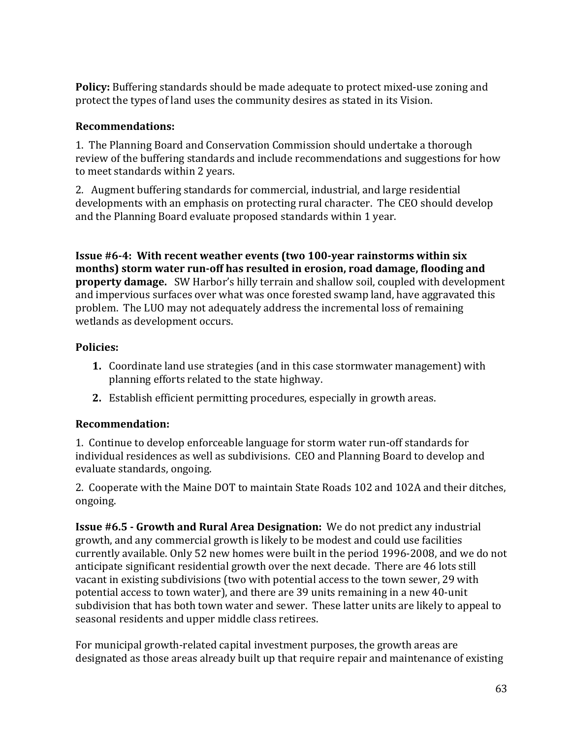**Policy:** Buffering standards should be made adequate to protect mixed-use zoning and protect the types of land uses the community desires as stated in its Vision.

### **Recommendations:**

1. The Planning Board and Conservation Commission should undertake a thorough review of the buffering standards and include recommendations and suggestions for how to meet standards within 2 years.

2. Augment buffering standards for commercial, industrial, and large residential developments with an emphasis on protecting rural character. The CEO should develop and the Planning Board evaluate proposed standards within 1 year.

**Issue #6-4: With recent weather events (two 100-year rainstorms within six**) months) storm water run-off has resulted in erosion, road damage, flooding and **property damage.** SW Harbor's hilly terrain and shallow soil, coupled with development and impervious surfaces over what was once forested swamp land, have aggravated this problem. The LUO may not adequately address the incremental loss of remaining wetlands as development occurs.

### Policies:

- **1.** Coordinate land use strategies (and in this case stormwater management) with planning efforts related to the state highway.
- **2.** Establish efficient permitting procedures, especially in growth areas.

## **Recommendation:**

1. Continue to develop enforceable language for storm water run-off standards for individual residences as well as subdivisions. CEO and Planning Board to develop and evaluate standards, ongoing.

2. Cooperate with the Maine DOT to maintain State Roads 102 and 102A and their ditches, ongoing.

**Issue #6.5 - Growth and Rural Area Designation:** We do not predict any industrial growth, and any commercial growth is likely to be modest and could use facilities currently available. Only 52 new homes were built in the period 1996-2008, and we do not anticipate significant residential growth over the next decade. There are 46 lots still vacant in existing subdivisions (two with potential access to the town sewer, 29 with potential access to town water), and there are 39 units remaining in a new 40-unit subdivision that has both town water and sewer. These latter units are likely to appeal to seasonal residents and upper middle class retirees.

For municipal growth-related capital investment purposes, the growth areas are designated as those areas already built up that require repair and maintenance of existing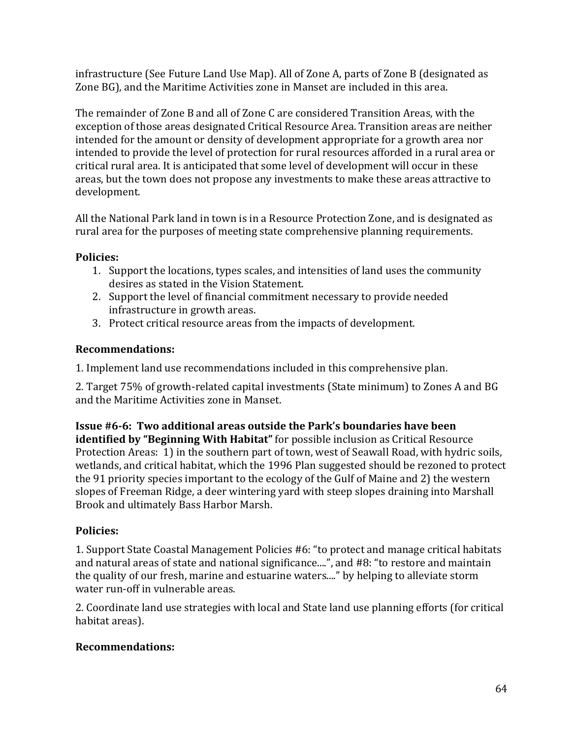infrastructure (See Future Land Use Map). All of Zone A, parts of Zone B (designated as Zone BG), and the Maritime Activities zone in Manset are included in this area.

The remainder of Zone B and all of Zone C are considered Transition Areas, with the exception of those areas designated Critical Resource Area. Transition areas are neither intended for the amount or density of development appropriate for a growth area nor intended to provide the level of protection for rural resources afforded in a rural area or critical rural area. It is anticipated that some level of development will occur in these areas, but the town does not propose any investments to make these areas attractive to development.

All the National Park land in town is in a Resource Protection Zone, and is designated as rural area for the purposes of meeting state comprehensive planning requirements.

#### **Policies:**

- 1. Support the locations, types scales, and intensities of land uses the community desires as stated in the Vision Statement.
- 2. Support the level of financial commitment necessary to provide needed infrastructure in growth areas.
- 3. Protect critical resource areas from the impacts of development.

## **Recommendations:(**

1. Implement land use recommendations included in this comprehensive plan.

2. Target 75% of growth-related capital investments (State minimum) to Zones A and BG and the Maritime Activities zone in Manset.

**Issue #6-6: Two additional areas outside the Park's boundaries have been identified by "Beginning With Habitat"** for possible inclusion as Critical Resource Protection Areas: 1) in the southern part of town, west of Seawall Road, with hydric soils, wetlands, and critical habitat, which the 1996 Plan suggested should be rezoned to protect the 91 priority species important to the ecology of the Gulf of Maine and 2) the western slopes of Freeman Ridge, a deer wintering yard with steep slopes draining into Marshall Brook and ultimately Bass Harbor Marsh.

## **Policies:**

1. Support State Coastal Management Policies #6: "to protect and manage critical habitats and natural areas of state and national significance....", and #8: "to restore and maintain the quality of our fresh, marine and estuarine waters...." by helping to alleviate storm water run-off in vulnerable areas.

2. Coordinate land use strategies with local and State land use planning efforts (for critical habitat areas).

#### **Recommendations:**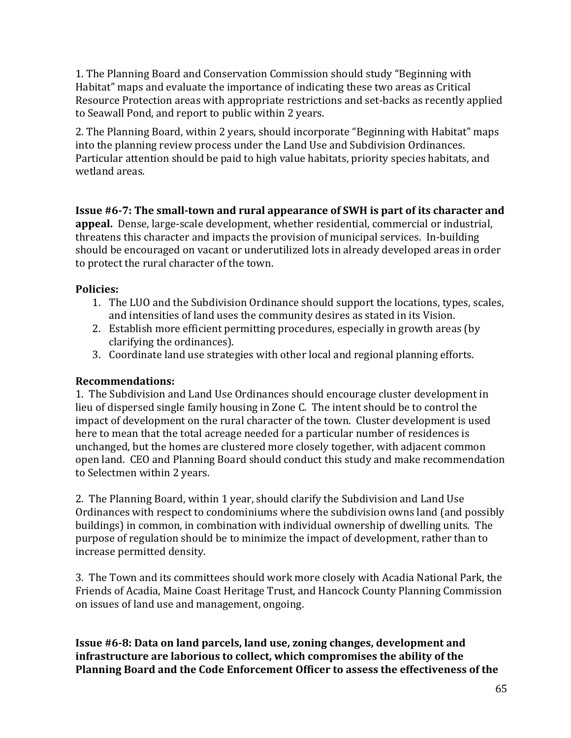1. The Planning Board and Conservation Commission should study "Beginning with Habitat" maps and evaluate the importance of indicating these two areas as Critical Resource Protection areas with appropriate restrictions and set-backs as recently applied to Seawall Pond, and report to public within 2 years.

2. The Planning Board, within 2 years, should incorporate "Beginning with Habitat" maps into the planning review process under the Land Use and Subdivision Ordinances. Particular attention should be paid to high value habitats, priority species habitats, and wetland areas.

**Issue #6-7: The small-town and rural appearance of SWH is part of its character and** appeal. Dense, large-scale development, whether residential, commercial or industrial, threatens this character and impacts the provision of municipal services. In-building should be encouraged on vacant or underutilized lots in already developed areas in order to protect the rural character of the town.

### Policies:

- 1. The LUO and the Subdivision Ordinance should support the locations, types, scales, and intensities of land uses the community desires as stated in its Vision.
- 2. Establish more efficient permitting procedures, especially in growth areas (by clarifying the ordinances).
- 3. Coordinate land use strategies with other local and regional planning efforts.

## **Recommendations:**

1. The Subdivision and Land Use Ordinances should encourage cluster development in lieu of dispersed single family housing in Zone C. The intent should be to control the impact of development on the rural character of the town. Cluster development is used here to mean that the total acreage needed for a particular number of residences is unchanged, but the homes are clustered more closely together, with adjacent common open land. CEO and Planning Board should conduct this study and make recommendation to Selectmen within 2 years.

2. The Planning Board, within 1 year, should clarify the Subdivision and Land Use Ordinances with respect to condominiums where the subdivision owns land (and possibly buildings) in common, in combination with individual ownership of dwelling units. The purpose of regulation should be to minimize the impact of development, rather than to increase permitted density.

3. The Town and its committees should work more closely with Acadia National Park, the Friends of Acadia, Maine Coast Heritage Trust, and Hancock County Planning Commission on issues of land use and management, ongoing.

**Issue #6-8: Data on land parcels, land use, zoning changes, development and** infrastructure are laborious to collect, which compromises the ability of the Planning Board and the Code Enforcement Officer to assess the effectiveness of the